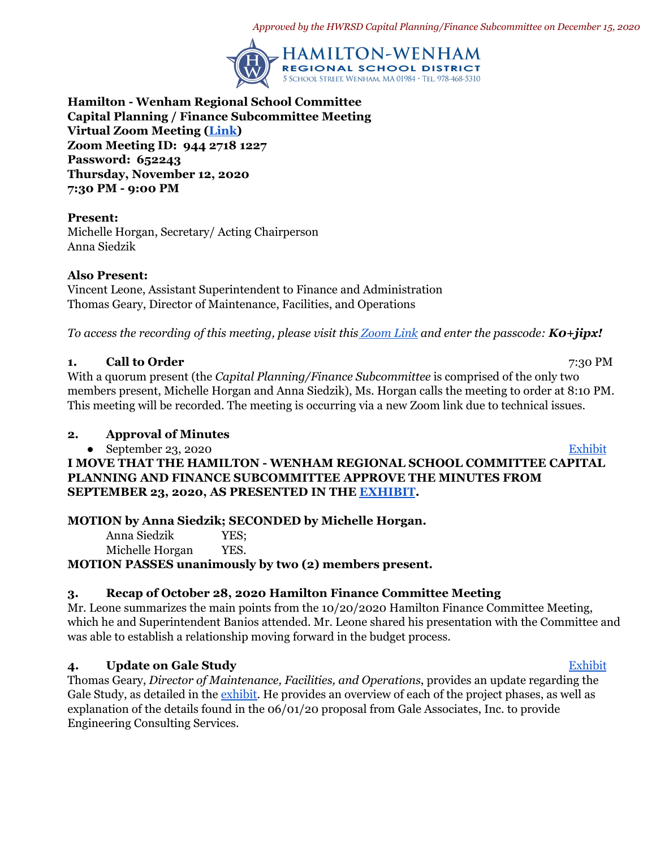*Approved by the HWRSD Capital Planning/Finance Subcommittee on December 15, 2020*



**Hamilton - Wenham Regional School Committee Capital Planning / Finance Subcommittee Meeting Virtual Zoom Meeting ([Link](https://zoom.us/j/94427181227?pwd=bktUUUlMUHNuUHJWOUNyN01QSUVvdz09)) Zoom Meeting ID: 944 2718 1227 Password: 652243 Thursday, November 12, 2020 7:30 PM - 9:00 PM**

**Present:** Michelle Horgan, Secretary/ Acting Chairperson Anna Siedzik

#### **Also Present:**

Vincent Leone, Assistant Superintendent to Finance and Administration Thomas Geary, Director of Maintenance, Facilities, and Operations

*To access the recording of this meeting, please visit thi[s Zoom Link](https://zoom.us/rec/share/w45TVigg0xYk_CuCBrC6kYEty-S3ZmeLHYICRgqkaaZopW2NT_jCOjzk_TcK4XmH.BPanCle80lnTy4H9) and enter the passcode: K0+jipx!*

## **1. Call to Order** 7:30 PM

With a quorum present (the *Capital Planning/Finance Subcommittee* is comprised of the only two members present, Michelle Horgan and Anna Siedzik), Ms. Horgan calls the meeting to order at 8:10 PM. This meeting will be recorded. The meeting is occurring via a new Zoom link due to technical issues.

#### **2. Approval of Minutes**

● September 23, 2020 [Exhibit](https://drive.google.com/file/d/1WGTTQAcqdwsTZYDls7Z70XbNbo5h0q4L/view?usp=sharing)

**I MOVE THAT THE HAMILTON - WENHAM REGIONAL SCHOOL COMMITTEE CAPITAL PLANNING AND FINANCE SUBCOMMITTEE APPROVE THE MINUTES FROM SEPTEMBER 23, 2020, AS PRESENTED IN THE [EXHIBIT](https://drive.google.com/file/d/1WGTTQAcqdwsTZYDls7Z70XbNbo5h0q4L/view?usp=sharing).**

**MOTION by Anna Siedzik; SECONDED by Michelle Horgan.**

| Anna Siedzik    | YES; |
|-----------------|------|
| Michelle Horgan | YES. |

**MOTION PASSES unanimously by two (2) members present.**

# **3. Recap of October 28, 2020 Hamilton Finance Committee Meeting**

Mr. Leone summarizes the main points from the 10/20/2020 Hamilton Finance Committee Meeting, which he and Superintendent Banios attended. Mr. Leone shared his presentation with the Committee and was able to establish a relationship moving forward in the budget process.

# **4. Update on Gale Study** [Exhibit](https://drive.google.com/file/d/1xSUXtfr66i5O3Mw5uZJ9Cf1c2ud11dnK/view?usp=sharing)

Thomas Geary, *Director of Maintenance, Facilities, and Operations*, provides an update regarding the Gale Study, as detailed in the [exhibit.](https://drive.google.com/file/d/1xSUXtfr66i5O3Mw5uZJ9Cf1c2ud11dnK/view?usp=sharing) He provides an overview of each of the project phases, as well as explanation of the details found in the 06/01/20 proposal from Gale Associates, Inc. to provide Engineering Consulting Services.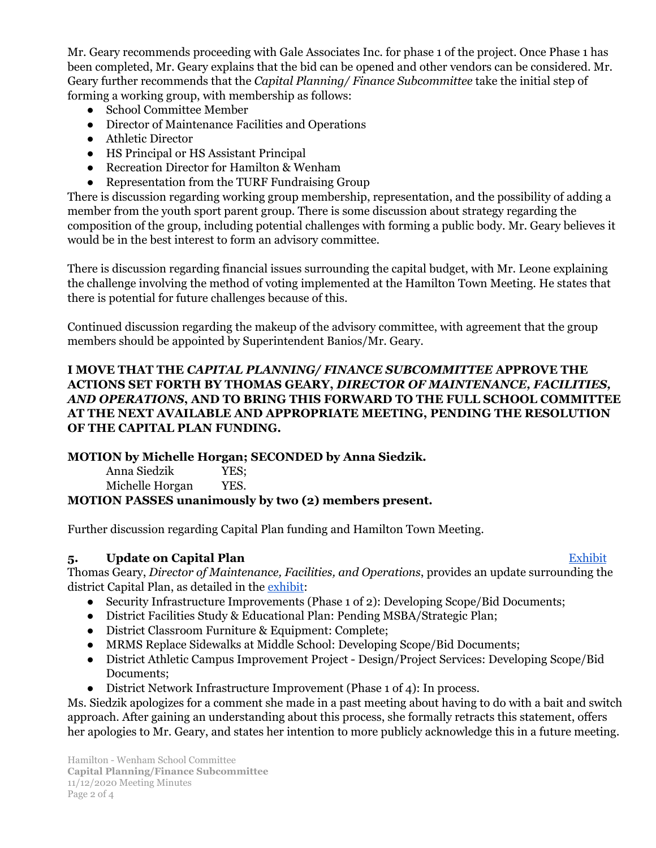Mr. Geary recommends proceeding with Gale Associates Inc. for phase 1 of the project. Once Phase 1 has been completed, Mr. Geary explains that the bid can be opened and other vendors can be considered. Mr. Geary further recommends that the *Capital Planning/ Finance Subcommittee* take the initial step of forming a working group, with membership as follows:

- School Committee Member
- Director of Maintenance Facilities and Operations
- Athletic Director
- HS Principal or HS Assistant Principal
- Recreation Director for Hamilton & Wenham
- Representation from the TURF Fundraising Group

There is discussion regarding working group membership, representation, and the possibility of adding a member from the youth sport parent group. There is some discussion about strategy regarding the composition of the group, including potential challenges with forming a public body. Mr. Geary believes it would be in the best interest to form an advisory committee.

There is discussion regarding financial issues surrounding the capital budget, with Mr. Leone explaining the challenge involving the method of voting implemented at the Hamilton Town Meeting. He states that there is potential for future challenges because of this.

Continued discussion regarding the makeup of the advisory committee, with agreement that the group members should be appointed by Superintendent Banios/Mr. Geary.

## **I MOVE THAT THE** *CAPITAL PLANNING/ FINANCE SUBCOMMITTEE* **APPROVE THE ACTIONS SET FORTH BY THOMAS GEARY,** *DIRECTOR OF MAINTENANCE, FACILITIES, AND OPERATIONS***, AND TO BRING THIS FORWARD TO THE FULL SCHOOL COMMITTEE AT THE NEXT AVAILABLE AND APPROPRIATE MEETING, PENDING THE RESOLUTION OF THE CAPITAL PLAN FUNDING.**

# **MOTION by Michelle Horgan; SECONDED by Anna Siedzik.**

Anna Siedzik YES; Michelle Horgan YES.

# **MOTION PASSES unanimously by two (2) members present.**

Further discussion regarding Capital Plan funding and Hamilton Town Meeting.

# **5. Update on Capital Plan** [Exhibit](https://drive.google.com/file/d/1wgt47aSW2VvajEKTnHq7ppT0P0ep7lgL/view?usp=sharing)

Thomas Geary, *Director of Maintenance, Facilities, and Operations*, provides an update surrounding the district Capital Plan, as detailed in the [exhibit:](https://drive.google.com/file/d/1wgt47aSW2VvajEKTnHq7ppT0P0ep7lgL/view?usp=sharing)

- Security Infrastructure Improvements (Phase 1 of 2): Developing Scope/Bid Documents;
- District Facilities Study & Educational Plan: Pending MSBA/Strategic Plan;
- District Classroom Furniture & Equipment: Complete;
- MRMS Replace Sidewalks at Middle School: Developing Scope/Bid Documents;
- District Athletic Campus Improvement Project Design/Project Services: Developing Scope/Bid Documents;
- District Network Infrastructure Improvement (Phase 1 of 4): In process.

Ms. Siedzik apologizes for a comment she made in a past meeting about having to do with a bait and switch approach. After gaining an understanding about this process, she formally retracts this statement, offers her apologies to Mr. Geary, and states her intention to more publicly acknowledge this in a future meeting.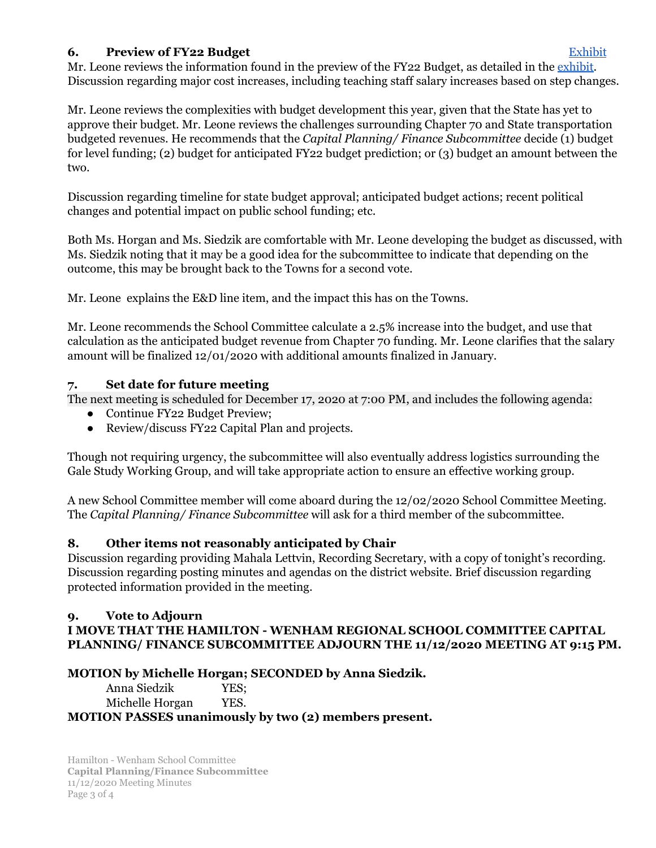# **6. Preview of FY22 Budget** [Exhibit](https://drive.google.com/file/d/168lR96sDdy9ys1p4aW8XnsISIPaDVm4v/view?usp=sharing)

Mr. Leone reviews the information found in the preview of the FY22 Budget, as detailed in the [exhibit](https://drive.google.com/file/d/168lR96sDdy9ys1p4aW8XnsISIPaDVm4v/view?usp=sharing). Discussion regarding major cost increases, including teaching staff salary increases based on step changes.

Mr. Leone reviews the complexities with budget development this year, given that the State has yet to approve their budget. Mr. Leone reviews the challenges surrounding Chapter 70 and State transportation budgeted revenues. He recommends that the *Capital Planning/ Finance Subcommittee* decide (1) budget for level funding; (2) budget for anticipated FY22 budget prediction; or (3) budget an amount between the two.

Discussion regarding timeline for state budget approval; anticipated budget actions; recent political changes and potential impact on public school funding; etc.

Both Ms. Horgan and Ms. Siedzik are comfortable with Mr. Leone developing the budget as discussed, with Ms. Siedzik noting that it may be a good idea for the subcommittee to indicate that depending on the outcome, this may be brought back to the Towns for a second vote.

Mr. Leone explains the E&D line item, and the impact this has on the Towns.

Mr. Leone recommends the School Committee calculate a 2.5% increase into the budget, and use that calculation as the anticipated budget revenue from Chapter 70 funding. Mr. Leone clarifies that the salary amount will be finalized 12/01/2020 with additional amounts finalized in January.

# **7. Set date for future meeting**

The next meeting is scheduled for December 17, 2020 at 7:00 PM, and includes the following agenda:

- Continue FY22 Budget Preview;
- Review/discuss FY22 Capital Plan and projects.

Though not requiring urgency, the subcommittee will also eventually address logistics surrounding the Gale Study Working Group, and will take appropriate action to ensure an effective working group.

A new School Committee member will come aboard during the 12/02/2020 School Committee Meeting. The *Capital Planning/ Finance Subcommittee* will ask for a third member of the subcommittee.

# **8. Other items not reasonably anticipated by Chair**

Discussion regarding providing Mahala Lettvin, Recording Secretary, with a copy of tonight's recording. Discussion regarding posting minutes and agendas on the district website. Brief discussion regarding protected information provided in the meeting.

## **9. Vote to Adjourn I MOVE THAT THE HAMILTON - WENHAM REGIONAL SCHOOL COMMITTEE CAPITAL PLANNING/ FINANCE SUBCOMMITTEE ADJOURN THE 11/12/2020 MEETING AT 9:15 PM.**

# **MOTION by Michelle Horgan; SECONDED by Anna Siedzik.**

Anna Siedzik YES; Michelle Horgan YES. **MOTION PASSES unanimously by two (2) members present.**